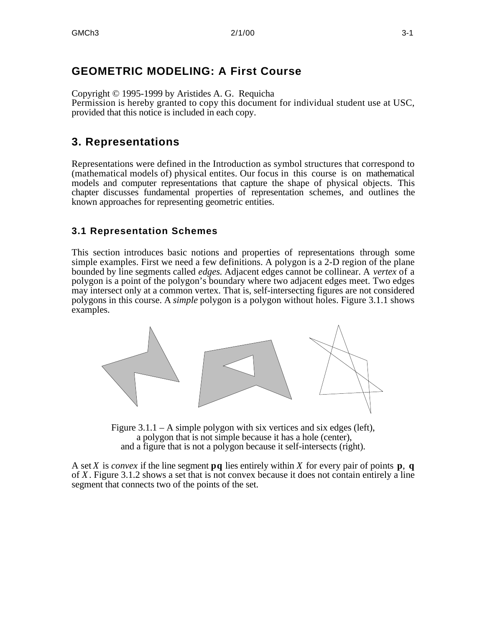# **GEOMETRIC MODELING: A First Course**

Copyright © 1995-1999 by Aristides A. G. Requicha Permission is hereby granted to copy this document for individual student use at USC, provided that this notice is included in each copy.

# **3. Representations**

Representations were defined in the Introduction as symbol structures that correspond to (mathematical models of) physical entites. Our focus in this course is on mathematical models and computer representations that capture the shape of physical objects. This chapter discusses fundamental properties of representation schemes, and outlines the known approaches for representing geometric entities.

## **3.1 Representation Schemes**

This section introduces basic notions and properties of representations through some simple examples. First we need a few definitions. A polygon is a 2-D region of the plane bounded by line segments called *edges*. Adjacent edges cannot be collinear. A *vertex* of a polygon is a point of the polygon's boundary where two adjacent edges meet. Two edges may intersect only at a common vertex. That is, self-intersecting figures are not considered polygons in this course. A *simple* polygon is a polygon without holes. Figure 3.1.1 shows examples.



Figure 3.1.1 – A simple polygon with six vertices and six edges (left), a polygon that is not simple because it has a hole (center), and a figure that is not a polygon because it self-intersects (right).

A set *X* is *convex* if the line segment **pq** lies entirely within *X* for every pair of points **p**, **q** of *X*. Figure 3.1.2 shows a set that is not convex because it does not contain entirely a line segment that connects two of the points of the set.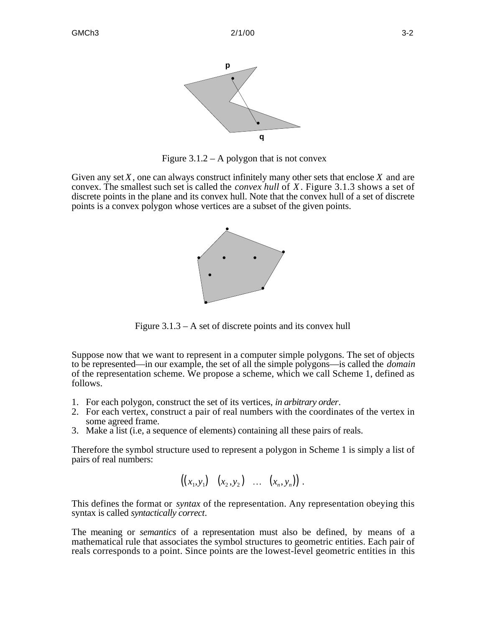

Figure  $3.1.2 - A$  polygon that is not convex

Given any set *X*, one can always construct infinitely many other sets that enclose *X* and are convex. The smallest such set is called the *convex hull* of *X*. Figure 3.1.3 shows a set of discrete points in the plane and its convex hull. Note that the convex hull of a set of discrete points is a convex polygon whose vertices are a subset of the given points.



Figure 3.1.3 – A set of discrete points and its convex hull

Suppose now that we want to represent in a computer simple polygons. The set of objects to be represented—in our example, the set of all the simple polygons—is called the *domain* of the representation scheme. We propose a scheme, which we call Scheme 1, defined as follows.

- 1. For each polygon, construct the set of its vertices, *in arbitrary order*.
- 2. For each vertex, construct a pair of real numbers with the coordinates of the vertex in some agreed frame.
- 3. Make a list (i.e, a sequence of elements) containing all these pairs of reals.

Therefore the symbol structure used to represent a polygon in Scheme 1 is simply a list of pairs of real numbers:

$$
((x_1,y_1) (x_2,y_2) \ldots (x_n,y_n)).
$$

This defines the format or *syntax* of the representation. Any representation obeying this syntax is called *syntactically correct*.

The meaning or *semantics* of a representation must also be defined, by means of a mathematical rule that associates the symbol structures to geometric entities. Each pair of reals corresponds to a point. Since points are the lowest-level geometric entities in this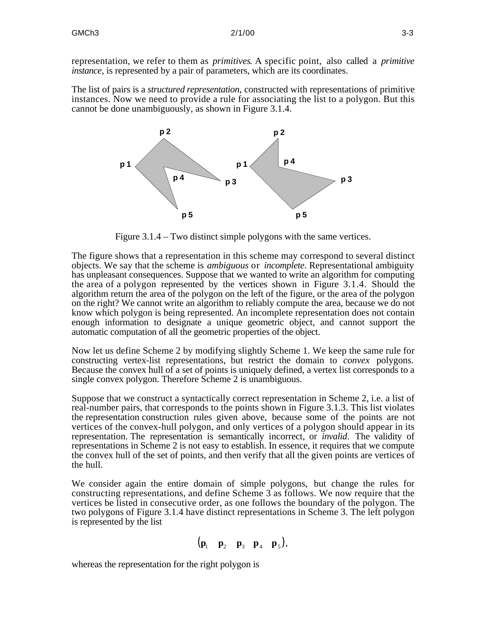representation, we refer to them as *primitives*. A specific point, also called a *primitive instance*, is represented by a pair of parameters, which are its coordinates.

The list of pairs is a *structured representation*, constructed with representations of primitive instances. Now we need to provide a rule for associating the list to a polygon. But this cannot be done unambiguously, as shown in Figure 3.1.4.



Figure 3.1.4 – Two distinct simple polygons with the same vertices.

The figure shows that a representation in this scheme may correspond to several distinct objects. We say that the scheme is *ambiguous* or *incomplete*. Representational ambiguity has unpleasant consequences. Suppose that we wanted to write an algorithm for computing the area of a polygon represented by the vertices shown in Figure 3.1.4. Should the algorithm return the area of the polygon on the left of the figure, or the area of the polygon on the right? We cannot write an algorithm to reliably compute the area, because we do not know which polygon is being represented. An incomplete representation does not contain enough information to designate a unique geometric object, and cannot support the automatic computation of all the geometric properties of the object.

Now let us define Scheme 2 by modifying slightly Scheme 1. We keep the same rule for constructing vertex-list representations, but restrict the domain to *convex* polygons. Because the convex hull of a set of points is uniquely defined, a vertex list corresponds to a single convex polygon. Therefore Scheme 2 is unambiguous.

Suppose that we construct a syntactically correct representation in Scheme 2, i.e. a list of real-number pairs, that corresponds to the points shown in Figure 3.1.3. This list violates the representation construction rules given above, because some of the points are not vertices of the convex-hull polygon, and only vertices of a polygon should appear in its representation. The representation is semantically incorrect, or *invalid*. The validity of representations in Scheme 2 is not easy to establish. In essence, it requires that we compute the convex hull of the set of points, and then verify that all the given points are vertices of the hull.

We consider again the entire domain of simple polygons, but change the rules for constructing representations, and define Scheme 3 as follows. We now require that the vertices be listed in consecutive order, as one follows the boundary of the polygon. The two polygons of Figure 3.1.4 have distinct representations in Scheme 3. The left polygon is represented by the list

$$
(\mathbf{p}_1 \quad \mathbf{p}_2 \quad \mathbf{p}_3 \quad \mathbf{p}_4 \quad \mathbf{p}_5),
$$

whereas the representation for the right polygon is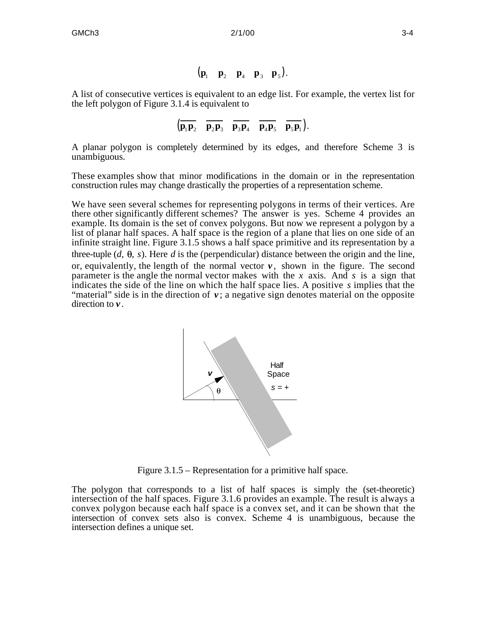$$
(\mathbf{p}_1 \quad \mathbf{p}_2 \quad \mathbf{p}_4 \quad \mathbf{p}_3 \quad \mathbf{p}_5).
$$

A list of consecutive vertices is equivalent to an edge list. For example, the vertex list for the left polygon of Figure 3.1.4 is equivalent to

$$
\left(\overline{\mathbf{p}_1\mathbf{p}_2} \quad \overline{\mathbf{p}_2\mathbf{p}_3} \quad \overline{\mathbf{p}_3\mathbf{p}_4} \quad \overline{\mathbf{p}_4\mathbf{p}_5} \quad \overline{\mathbf{p}_5\mathbf{p}_1}\right).
$$

A planar polygon is completely determined by its edges, and therefore Scheme 3 is unambiguous.

These examples show that minor modifications in the domain or in the representation construction rules may change drastically the properties of a representation scheme.

We have seen several schemes for representing polygons in terms of their vertices. Are there other significantly different schemes? The answer is yes. Scheme 4 provides an example. Its domain is the set of convex polygons. But now we represent a polygon by a list of planar half spaces. A half space is the region of a plane that lies on one side of an infinite straight line. Figure 3.1.5 shows a half space primitive and its representation by a three-tuple  $(d, \theta, s)$ . Here *d* is the (perpendicular) distance between the origin and the line, or, equivalently, the length of the normal vector  $v$ , shown in the figure. The second parameter is the angle the normal vector makes with the *x* axis. And *s* is a sign that indicates the side of the line on which the half space lies. A positive *s* implies that the "material" side is in the direction of  $v$ ; a negative sign denotes material on the opposite direction to *v* .



Figure 3.1.5 – Representation for a primitive half space.

The polygon that corresponds to a list of half spaces is simply the (set-theoretic) intersection of the half spaces. Figure 3.1.6 provides an example. The result is always a convex polygon because each half space is a convex set, and it can be shown that the intersection of convex sets also is convex. Scheme 4 is unambiguous, because the intersection defines a unique set.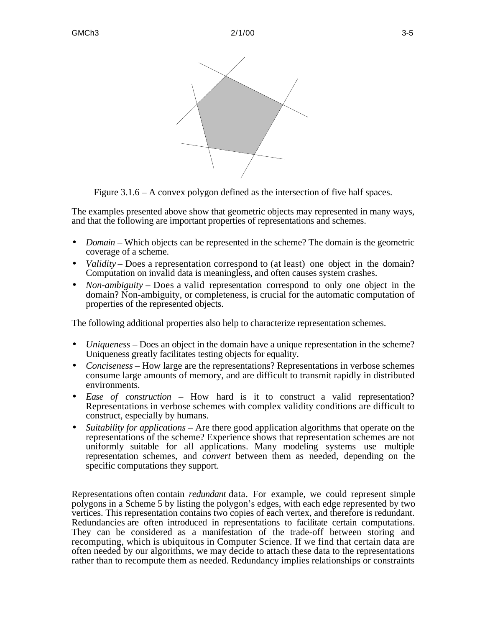



Figure 3.1.6 – A convex polygon defined as the intersection of five half spaces.

The examples presented above show that geometric objects may represented in many ways, and that the following are important properties of representations and schemes.

- *Domain* Which objects can be represented in the scheme? The domain is the geometric coverage of a scheme.
- *Validity* Does a representation correspond to (at least) one object in the domain? Computation on invalid data is meaningless, and often causes system crashes.
- *Non-ambiguity* Does a valid representation correspond to only one object in the domain? Non-ambiguity, or completeness, is crucial for the automatic computation of properties of the represented objects.

The following additional properties also help to characterize representation schemes.

- *Uniqueness* Does an object in the domain have a unique representation in the scheme? Uniqueness greatly facilitates testing objects for equality.
- *Conciseness* How large are the representations? Representations in verbose schemes consume large amounts of memory, and are difficult to transmit rapidly in distributed environments.
- *Ease of construction* How hard is it to construct a valid representation? Representations in verbose schemes with complex validity conditions are difficult to construct, especially by humans.
- *Suitability for applications* Are there good application algorithms that operate on the representations of the scheme? Experience shows that representation schemes are not uniformly suitable for all applications. Many modeling systems use multiple representation schemes, and *convert* between them as needed, depending on the specific computations they support.

Representations often contain *redundant* data. For example, we could represent simple polygons in a Scheme 5 by listing the polygon's edges, with each edge represented by two vertices. This representation contains two copies of each vertex, and therefore is redundant. Redundancies are often introduced in representations to facilitate certain computations. They can be considered as a manifestation of the trade-off between storing and recomputing, which is ubiquitous in Computer Science. If we find that certain data are often needed by our algorithms, we may decide to attach these data to the representations rather than to recompute them as needed. Redundancy implies relationships or constraints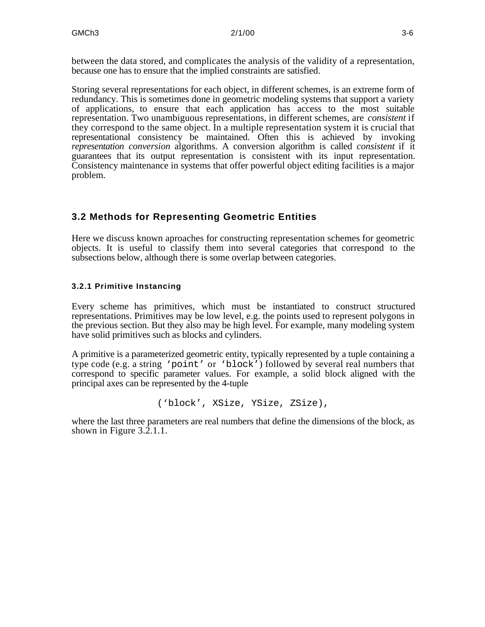between the data stored, and complicates the analysis of the validity of a representation, because one has to ensure that the implied constraints are satisfied.

Storing several representations for each object, in different schemes, is an extreme form of redundancy. This is sometimes done in geometric modeling systems that support a variety of applications, to ensure that each application has access to the most suitable representation. Two unambiguous representations, in different schemes, are *consistent* if they correspond to the same object. In a multiple representation system it is crucial that representational consistency be maintained. Often this is achieved by invoking *representation conversion* algorithms. A conversion algorithm is called *consistent* if it guarantees that its output representation is consistent with its input representation. Consistency maintenance in systems that offer powerful object editing facilities is a major problem.

## **3.2 Methods for Representing Geometric Entities**

Here we discuss known aproaches for constructing representation schemes for geometric objects. It is useful to classify them into several categories that correspond to the subsections below, although there is some overlap between categories.

#### **3.2.1 Primitive Instancing**

Every scheme has primitives, which must be instantiated to construct structured representations. Primitives may be low level, e.g. the points used to represent polygons in the previous section. But they also may be high level. For example, many modeling system have solid primitives such as blocks and cylinders.

A primitive is a parameterized geometric entity, typically represented by a tuple containing a type code (e.g. a string 'point' or 'block') followed by several real numbers that correspond to specific parameter values. For example, a solid block aligned with the principal axes can be represented by the 4-tuple

('block', XSize, YSize, ZSize),

where the last three parameters are real numbers that define the dimensions of the block, as shown in Figure 3.2.1.1.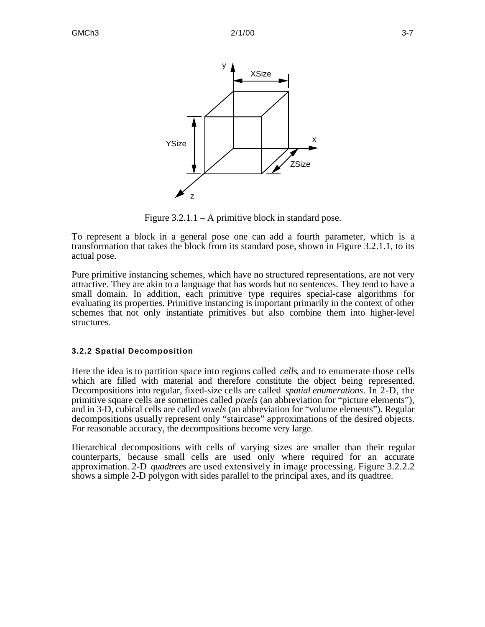

Figure  $3.2.1.1 - A$  primitive block in standard pose.

To represent a block in a general pose one can add a fourth parameter, which is a transformation that takes the block from its standard pose, shown in Figure 3.2.1.1, to its actual pose.

Pure primitive instancing schemes, which have no structured representations, are not very attractive. They are akin to a language that has words but no sentences. They tend to have a small domain. In addition, each primitive type requires special-case algorithms for evaluating its properties. Primitive instancing is important primarily in the context of other schemes that not only instantiate primitives but also combine them into higher-level structures.

#### **3.2.2 Spatial Decomposition**

Here the idea is to partition space into regions called *cells*, and to enumerate those cells which are filled with material and therefore constitute the object being represented. Decompositions into regular, fixed-size cells are called *spatial enumerations*. In 2-D, the primitive square cells are sometimes called *pixels* (an abbreviation for "picture elements"), and in 3-D, cubical cells are called *voxels* (an abbreviation for "volume elements"). Regular decompositions usually represent only "staircase" approximations of the desired objects. For reasonable accuracy, the decompositions become very large.

Hierarchical decompositions with cells of varying sizes are smaller than their regular counterparts, because small cells are used only where required for an accurate approximation. 2-D *quadtrees* are used extensively in image processing. Figure 3.2.2.2 shows a simple 2-D polygon with sides parallel to the principal axes, and its quadtree.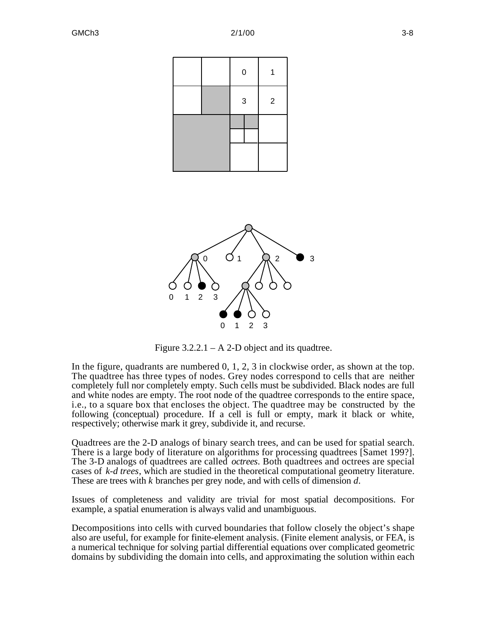

Figure  $3.2.2.1 - A 2-D$  object and its quadtree.

In the figure, quadrants are numbered 0, 1, 2, 3 in clockwise order, as shown at the top. The quadtree has three types of nodes. Grey nodes correspond to cells that are neither completely full nor completely empty. Such cells must be subdivided. Black nodes are full and white nodes are empty. The root node of the quadtree corresponds to the entire space, i.e., to a square box that encloses the object. The quadtree may be constructed by the following (conceptual) procedure. If a cell is full or empty, mark it black or white, respectively; otherwise mark it grey, subdivide it, and recurse.

Quadtrees are the 2-D analogs of binary search trees, and can be used for spatial search. There is a large body of literature on algorithms for processing quadtrees [Samet 199?]. The 3-D analogs of quadtrees are called *octrees*. Both quadtrees and octrees are special cases of *k-d trees*, which are studied in the theoretical computational geometry literature. These are trees with *k* branches per grey node, and with cells of dimension *d*.

Issues of completeness and validity are trivial for most spatial decompositions. For example, a spatial enumeration is always valid and unambiguous.

Decompositions into cells with curved boundaries that follow closely the object's shape also are useful, for example for finite-element analysis. (Finite element analysis, or FEA, is a numerical technique for solving partial differential equations over complicated geometric domains by subdividing the domain into cells, and approximating the solution within each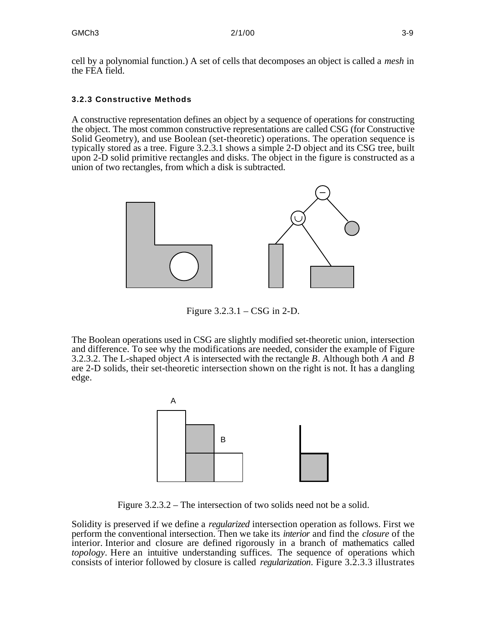cell by a polynomial function.) A set of cells that decomposes an object is called a *mesh* in the FEA field.

#### **3.2.3 Constructive Methods**

A constructive representation defines an object by a sequence of operations for constructing the object. The most common constructive representations are called CSG (for Constructive Solid Geometry), and use Boolean (set-theoretic) operations. The operation sequence is typically stored as a tree. Figure 3.2.3.1 shows a simple 2-D object and its CSG tree, built upon 2-D solid primitive rectangles and disks. The object in the figure is constructed as a union of two rectangles, from which a disk is subtracted.



Figure 3.2.3.1 – CSG in 2-D.

The Boolean operations used in CSG are slightly modified set-theoretic union, intersection and difference. To see why the modifications are needed, consider the example of Figure 3.2.3.2. The L-shaped object *A* is intersected with the rectangle *B*. Although both *A* and *B* are 2-D solids, their set-theoretic intersection shown on the right is not. It has a dangling edge.



Figure 3.2.3.2 – The intersection of two solids need not be a solid.

Solidity is preserved if we define a *regularized* intersection operation as follows. First we perform the conventional intersection. Then we take its *interior* and find the *closure* of the interior. Interior and closure are defined rigorously in a branch of mathematics called *topology*. Here an intuitive understanding suffices. The sequence of operations which consists of interior followed by closure is called *regularization*. Figure 3.2.3.3 illustrates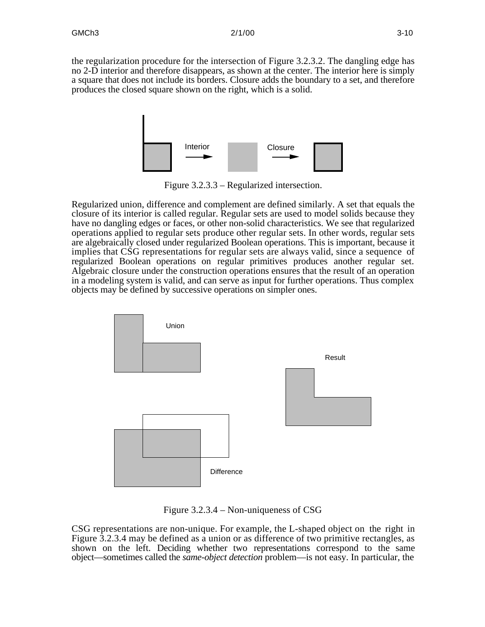the regularization procedure for the intersection of Figure 3.2.3.2. The dangling edge has no 2-D interior and therefore disappears, as shown at the center. The interior here is simply a square that does not include its borders. Closure adds the boundary to a set, and therefore produces the closed square shown on the right, which is a solid.



Figure 3.2.3.3 – Regularized intersection.

Regularized union, difference and complement are defined similarly. A set that equals the closure of its interior is called regular. Regular sets are used to model solids because they have no dangling edges or faces, or other non-solid characteristics. We see that regularized operations applied to regular sets produce other regular sets. In other words, regular sets are algebraically closed under regularized Boolean operations. This is important, because it implies that CSG representations for regular sets are always valid, since a sequence of regularized Boolean operations on regular primitives produces another regular set. Algebraic closure under the construction operations ensures that the result of an operation in a modeling system is valid, and can serve as input for further operations. Thus complex objects may be defined by successive operations on simpler ones.



Figure 3.2.3.4 – Non-uniqueness of CSG

CSG representations are non-unique. For example, the L-shaped object on the right in Figure 3.2.3.4 may be defined as a union or as difference of two primitive rectangles, as shown on the left. Deciding whether two representations correspond to the same object—sometimes called the *same-object detection* problem—is not easy. In particular, the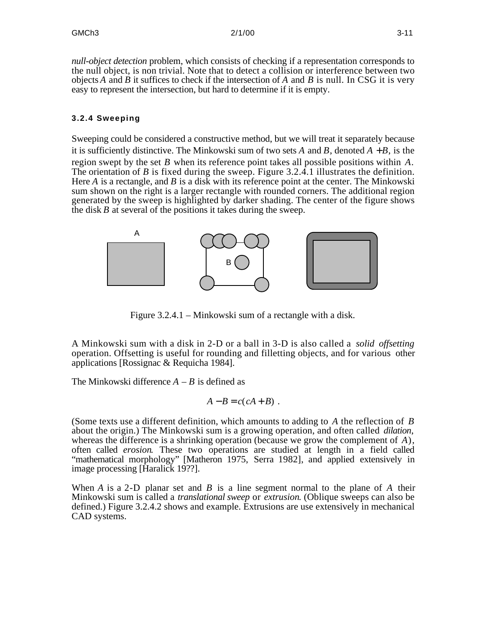*null-object detection* problem, which consists of checking if a representation corresponds to the null object, is non trivial. Note that to detect a collision or interference between two objects *A* and *B* it suffices to check if the intersection of *A* and *B* is null. In CSG it is very easy to represent the intersection, but hard to determine if it is empty.

#### **3.2.4 Sweeping**

Sweeping could be considered a constructive method, but we will treat it separately because it is sufficiently distinctive. The Minkowski sum of two sets A and B, denoted  $A + B$ , is the region swept by the set *B* when its reference point takes all possible positions within *A*. The orientation of *B* is fixed during the sweep. Figure 3.2.4.1 illustrates the definition. Here *A* is a rectangle, and *B* is a disk with its reference point at the center. The Minkowski sum shown on the right is a larger rectangle with rounded corners. The additional region generated by the sweep is highlighted by darker shading. The center of the figure shows the disk *B* at several of the positions it takes during the sweep.



Figure 3.2.4.1 – Minkowski sum of a rectangle with a disk.

A Minkowski sum with a disk in 2-D or a ball in 3-D is also called a *solid offsetting* operation. Offsetting is useful for rounding and filletting objects, and for various other applications [Rossignac & Requicha 1984].

The Minkowski difference  $A - B$  is defined as

$$
A-B=c(cA+B).
$$

(Some texts use a different definition, which amounts to adding to *A* the reflection of *B* about the origin.) The Minkowski sum is a growing operation, and often called *dilation*, whereas the difference is a shrinking operation (because we grow the complement of *A*), often called *erosion*. These two operations are studied at length in a field called "mathematical morphology" [Matheron 1975, Serra 1982], and applied extensively in image processing [Haralick 19??].

When *A* is a 2-D planar set and *B* is a line segment normal to the plane of *A* their Minkowski sum is called a *translational sweep* or *extrusion*. (Oblique sweeps can also be defined.) Figure 3.2.4.2 shows and example. Extrusions are use extensively in mechanical CAD systems.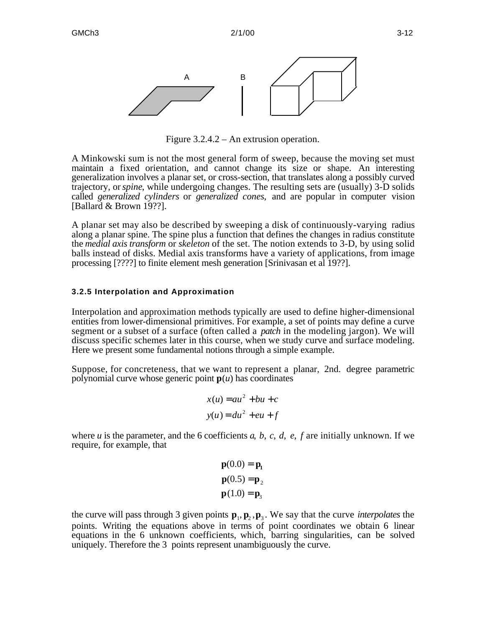

Figure 3.2.4.2 – An extrusion operation.

A Minkowski sum is not the most general form of sweep, because the moving set must maintain a fixed orientation, and cannot change its size or shape. An interesting generalization involves a planar set, or cross-section, that translates along a possibly curved trajectory, or *spine*, while undergoing changes. The resulting sets are (usually) 3-D solids called *generalized cylinders* or *generalized cones*, and are popular in computer vision [Ballard & Brown 19??].

A planar set may also be described by sweeping a disk of continuously-varying radius along a planar spine. The spine plus a function that defines the changes in radius constitute the *medial axis transform* or *skeleton* of the set. The notion extends to 3-D, by using solid balls instead of disks. Medial axis transforms have a variety of applications, from image processing [????] to finite element mesh generation [Srinivasan et al 19??].

#### **3.2.5 Interpolation and Approximation**

Interpolation and approximation methods typically are used to define higher-dimensional entities from lower-dimensional primitives. For example, a set of points may define a curve segment or a subset of a surface (often called a *patch* in the modeling jargon). We will discuss specific schemes later in this course, when we study curve and surface modeling. Here we present some fundamental notions through a simple example.

Suppose, for concreteness, that we want to represent a planar, 2nd. degree parametric polynomial curve whose generic point  $p(u)$  has coordinates

$$
x(u) = au2 + bu + c
$$

$$
y(u) = du2 + eu + f
$$

where *u* is the parameter, and the 6 coefficients *a*, *b*, *c*, *d*, *e*, *f* are initially unknown. If we require, for example, that

$$
\mathbf{p}(0.0) = \mathbf{p}_1
$$

$$
\mathbf{p}(0.5) = \mathbf{p}_2
$$

$$
\mathbf{p}(1.0) = \mathbf{p}_3
$$

the curve will pass through 3 given points  $\mathbf{p}_1, \mathbf{p}_2, \mathbf{p}_3$ . We say that the curve *interpolates* the points. Writing the equations above in terms of point coordinates we obtain 6 linear equations in the 6 unknown coefficients, which, barring singularities, can be solved uniquely. Therefore the 3 points represent unambiguously the curve.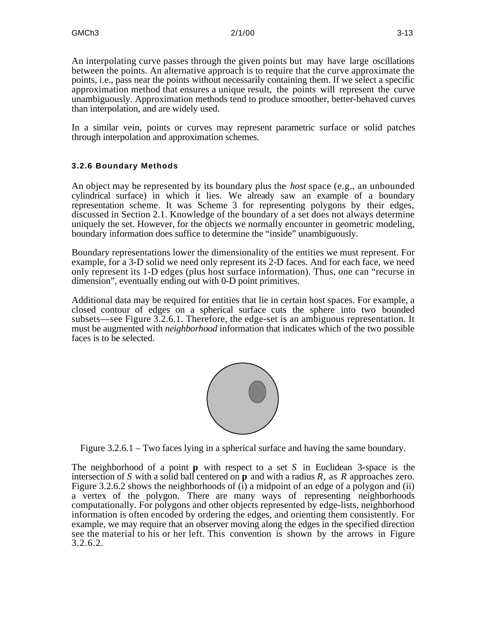An interpolating curve passes through the given points but may have large oscillations between the points. An alternative approach is to require that the curve approximate the points, i.e., pass near the points without necessarily containing them. If we select a specific approximation method that ensures a unique result, the points will represent the curve unambiguously. Approximation methods tend to produce smoother, better-behaved curves than interpolation, and are widely used.

In a similar vein, points or curves may represent parametric surface or solid patches through interpolation and approximation schemes.

#### **3.2.6 Boundary Methods**

An object may be represented by its boundary plus the *host* space (e.g., an unbounded cylindrical surface) in which it lies. We already saw an example of a boundary representation scheme. It was Scheme 3 for representing polygons by their edges, discussed in Section 2.1. Knowledge of the boundary of a set does not always determine uniquely the set. However, for the objects we normally encounter in geometric modeling, boundary information does suffice to determine the "inside" unambiguously.

Boundary representations lower the dimensionality of the entities we must represent. For example, for a 3-D solid we need only represent its 2-D faces. And for each face, we need only represent its 1-D edges (plus host surface information). Thus, one can "recurse in dimension", eventually ending out with 0-D point primitives.

Additional data may be required for entities that lie in certain host spaces. For example, a closed contour of edges on a spherical surface cuts the sphere into two bounded subsets—see Figure 3.2.6.1. Therefore, the edge-set is an ambiguous representation. It must be augmented with *neighborhood* information that indicates which of the two possible faces is to be selected.



Figure 3.2.6.1 – Two faces lying in a spherical surface and having the same boundary.

The neighborhood of a point **p** with respect to a set *S* in Euclidean 3-space is the intersection of *S* with a solid ball centered on **p** and with a radius *R*, as *R* approaches zero. Figure 3.2.6.2 shows the neighborhoods of (i) a midpoint of an edge of a polygon and (ii) a vertex of the polygon. There are many ways of representing neighborhoods computationally. For polygons and other objects represented by edge-lists, neighborhood information is often encoded by ordering the edges, and orienting them consistently. For example, we may require that an observer moving along the edges in the specified direction see the material to his or her left. This convention is shown by the arrows in Figure 3.2.6.2.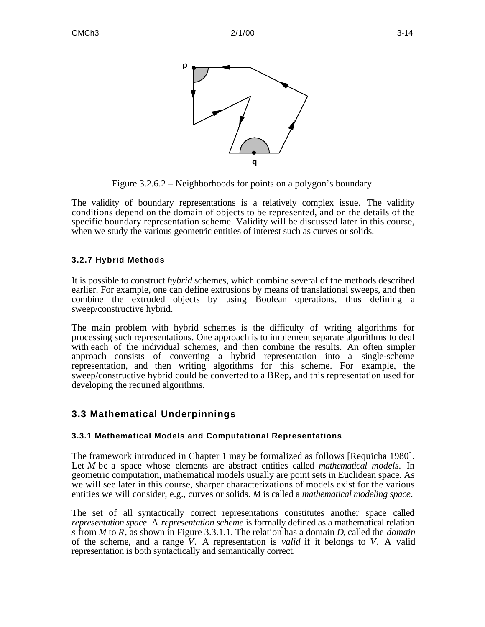

Figure 3.2.6.2 – Neighborhoods for points on a polygon's boundary.

The validity of boundary representations is a relatively complex issue. The validity conditions depend on the domain of objects to be represented, and on the details of the specific boundary representation scheme. Validity will be discussed later in this course, when we study the various geometric entities of interest such as curves or solids.

### **3.2.7 Hybrid Methods**

It is possible to construct *hybrid* schemes, which combine several of the methods described earlier. For example, one can define extrusions by means of translational sweeps, and then combine the extruded objects by using Boolean operations, thus defining a sweep/constructive hybrid.

The main problem with hybrid schemes is the difficulty of writing algorithms for processing such representations. One approach is to implement separate algorithms to deal with each of the individual schemes, and then combine the results. An often simpler approach consists of converting a hybrid representation into a single-scheme representation, and then writing algorithms for this scheme. For example, the sweep/constructive hybrid could be converted to a BRep, and this representation used for developing the required algorithms.

## **3.3 Mathematical Underpinnings**

### **3.3.1 Mathematical Models and Computational Representations**

The framework introduced in Chapter 1 may be formalized as follows [Requicha 1980]. Let *M* be a space whose elements are abstract entities called *mathematical models*. In geometric computation, mathematical models usually are point sets in Euclidean space. As we will see later in this course, sharper characterizations of models exist for the various entities we will consider, e.g., curves or solids. *M* is called a *mathematical modeling space*.

The set of all syntactically correct representations constitutes another space called *representation space*. A *representation scheme* is formally defined as a mathematical relation *s* from *M* to *R*, as shown in Figure 3.3.1.1. The relation has a domain *D*, called the *domain* of the scheme, and a range *V*. A representation is *valid* if it belongs to *V*. A valid representation is both syntactically and semantically correct.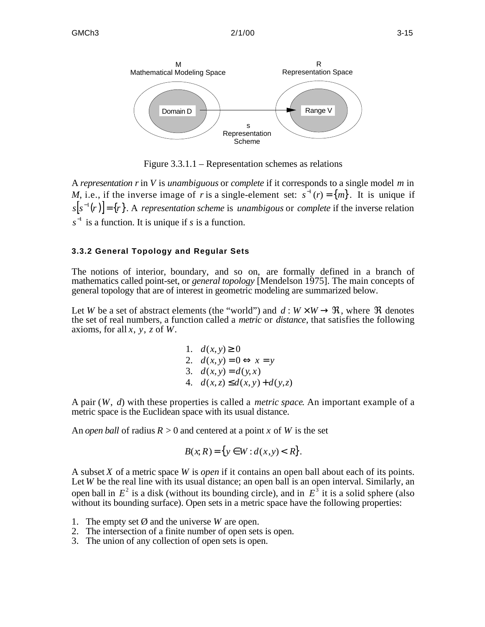

Figure 3.3.1.1 – Representation schemes as relations

A *representation r* in *V* is *unambiguous* or *complete* if it corresponds to a single model *m* in *M*, i.e., if the inverse image of *r* is a single-element set:  $s^{-1}(r) = \{m\}$ . It is unique if  $[s^{\text{-}1}(r)] = \{r\}$ . A *representation scheme* is *unambigous* or *complete* if the inverse relation  $s<sup>-1</sup>$  is a function. It is unique if *s* is a function.

#### **3.3.2 General Topology and Regular Sets**

The notions of interior, boundary, and so on, are formally defined in a branch of mathematics called point-set, or *general topology* [Mendelson 1975]. The main concepts of general topology that are of interest in geometric modeling are summarized below.

Let *W* be a set of abstract elements (the "world") and  $d : W \times W$ , where denotes the set of real numbers, a function called a *metric* or *distance*, that satisfies the following axioms, for all *x*, *y*, *z* of *W*.

1. 
$$
d(x, y) = 0
$$
  
\n2.  $d(x, y) = 0$   $x = y$   
\n3.  $d(x, y) = d(y, x)$   
\n4.  $d(x, z) = d(x, y) + d(y, z)$ 

A pair (*W*, *d*) with these properties is called a *metric space*. An important example of a metric space is the Euclidean space with its usual distance.

An *open ball* of radius  $R > 0$  and centered at a point *x* of *W* is the set

$$
B(x,R) = \{y \mid W : d(x,y) < R\}.
$$

A subset *X* of a metric space *W* is *open* if it contains an open ball about each of its points. Let *W* be the real line with its usual distance; an open ball is an open interval. Similarly, an open ball in  $E^2$  is a disk (without its bounding circle), and in  $E^3$  it is a solid sphere (also without its bounding surface). Open sets in a metric space have the following properties:

- 1. The empty set  $\emptyset$  and the universe *W* are open.
- 2. The intersection of a finite number of open sets is open.
- 3. The union of any collection of open sets is open.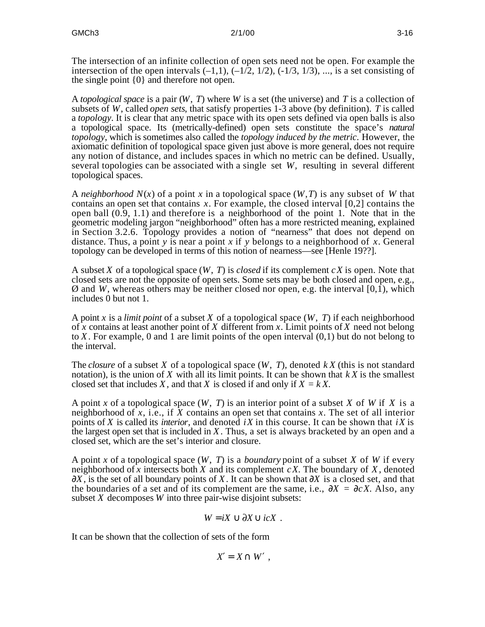The intersection of an infinite collection of open sets need not be open. For example the intersection of the open intervals  $(-1,1)$ ,  $(-1/2, 1/2)$ ,  $(-1/3, 1/3)$ , ..., is a set consisting of the single point {0} and therefore not open.

A *topological space* is a pair (*W*, *T*) where *W* is a set (the universe) and *T* is a collection of subsets of *W*, called *open sets*, that satisfy properties 1-3 above (by definition). *T* is called a *topology*. It is clear that any metric space with its open sets defined via open balls is also a topological space. Its (metrically-defined) open sets constitute the space's *natural topology*, which is sometimes also called the *topology induced by the metric*. However, the axiomatic definition of topological space given just above is more general, does not require any notion of distance, and includes spaces in which no metric can be defined. Usually, several topologies can be associated with a single set *W*, resulting in several different topological spaces.

A *neighborhood N*(*x*) of a point *x* in a topological space (*W*,*T*) is any subset of *W* that contains an open set that contains *x*. For example, the closed interval [0,2] contains the open ball (0.9, 1.1) and therefore is a neighborhood of the point 1. Note that in the geometric modeling jargon "neighborhood" often has a more restricted meaning, explained in Section 3.2.6. Topology provides a notion of "nearness" that does not depend on distance. Thus, a point *y* is near a point *x* if *y* belongs to a neighborhood of *x*. General topology can be developed in terms of this notion of nearness—see [Henle 19??].

A subset *X* of a topological space (*W*, *T*) is *closed* if its complement *cX* is open. Note that closed sets are not the opposite of open sets. Some sets may be both closed and open, e.g., Ø and *W*, whereas others may be neither closed nor open, e.g. the interval [0,1), which includes 0 but not 1.

A point *x* is a *limit point* of a subset *X* of a topological space (*W*, *T*) if each neighborhood of *x* contains at least another point of *X* different from *x*. Limit points of *X* need not belong to *X*. For example, 0 and 1 are limit points of the open interval (0,1) but do not belong to the interval.

The *closure* of a subset *X* of a topological space (*W*, *T*), denoted *k X* (this is not standard notation), is the union of *X* with all its limit points. It can be shown that *k X* is the smallest closed set that includes *X*, and that *X* is closed if and only if  $X = kX$ .

A point *x* of a topological space (*W*, *T*) is an interior point of a subset *X* of *W* if *X* is a neighborhood of *x*, i.e., if *X* contains an open set that contains *x*. The set of all interior points of *X* is called its *interior*, and denoted *iX* in this course. It can be shown that *iX* is the largest open set that is included in *X*. Thus, a set is always bracketed by an open and a closed set, which are the set's interior and closure.

A point *x* of a topological space (*W*, *T*) is a *boundary* point of a subset *X* of *W* if every neighborhood of x intersects both  $X$  and its complement  $cX$ . The boundary of  $X$ , denoted *X*, is the set of all boundary points of *X*. It can be shown that *X* is a closed set, and that the boundaries of a set and of its complement are the same, i.e.,  $X = cX$ . Also, any subset *X* decomposes *W* into three pair-wise disjoint subsets:

$$
W = iX \quad \partial X \quad icX \ .
$$

It can be shown that the collection of sets of the form

$$
X = X \quad W \quad ,
$$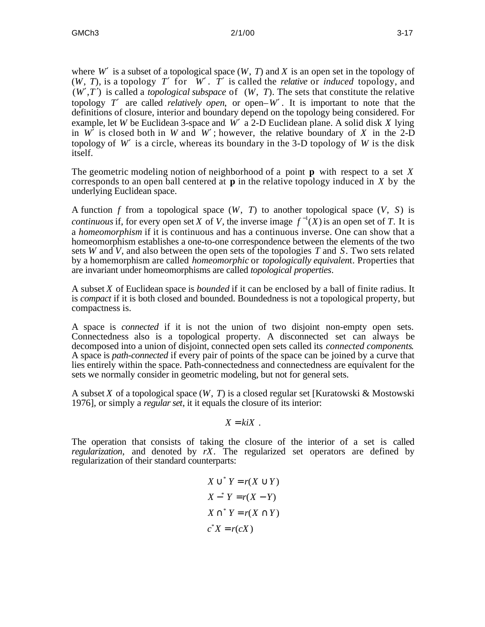where *W* is a subset of a topological space  $(W, T)$  and  $X$  is an open set in the topology of  $(W, T)$ , is a topology *T* for *W*. *T* is called the *relative* or *induced* topology, and  $(W, T)$  is called a *topological subspace* of  $(W, T)$ . The sets that constitute the relative topology *T* are called *relatively open*, or open– $W$ . It is important to note that the definitions of closure, interior and boundary depend on the topology being considered. For example, let *W* be Euclidean 3-space and *W* ′ a 2-D Euclidean plane. A solid disk *X* lying in *W* is closed both in *W* and *W*; however, the relative boundary of *X* in the 2-D topology of *W* is a circle, whereas its boundary in the 3-D topology of *W* is the disk itself.

The geometric modeling notion of neighborhood of a point **p** with respect to a set *X* corresponds to an open ball centered at **p** in the relative topology induced in *X* by the underlying Euclidean space.

A function *f* from a topological space (*W*, *T*) to another topological space (*V*, *S*) is *continuous* if, for every open set *X* of *V*, the inverse image  $f^{-1}(X)$  is an open set of *T*. It is a *homeomorphism* if it is continuous and has a continuous inverse. One can show that a homeomorphism establishes a one-to-one correspondence between the elements of the two sets *W* and *V*, and also between the open sets of the topologies *T* and *S*. Two sets related by a homemorphism are called *homeomorphic* or *topologically equivalen*t. Properties that are invariant under homeomorphisms are called *topological properties*.

A subset *X* of Euclidean space is *bounded* if it can be enclosed by a ball of finite radius. It is *compact* if it is both closed and bounded. Boundedness is not a topological property, but compactness is.

A space is *connected* if it is not the union of two disjoint non-empty open sets. Connectedness also is a topological property. A disconnected set can always be decomposed into a union of disjoint, connected open sets called its *connected components*. A space is *path-connected* if every pair of points of the space can be joined by a curve that lies entirely within the space. Path-connectedness and connectedness are equivalent for the sets we normally consider in geometric modeling, but not for general sets.

A subset *X* of a topological space  $(W, T)$  is a closed regular set [Kuratowski & Mostowski 1976], or simply a *regular set*, it it equals the closure of its interior:

 $X = k i X$ .

The operation that consists of taking the closure of the interior of a set is called *regularization*, and denoted by *rX*. The regularized set operators are defined by regularization of their standard counterparts:

$$
X * Y = r(X Y)
$$
  
\n
$$
X * Y = r(X - Y)
$$
  
\n
$$
X * Y = r(X Y)
$$
  
\n
$$
c * X = r(cX)
$$